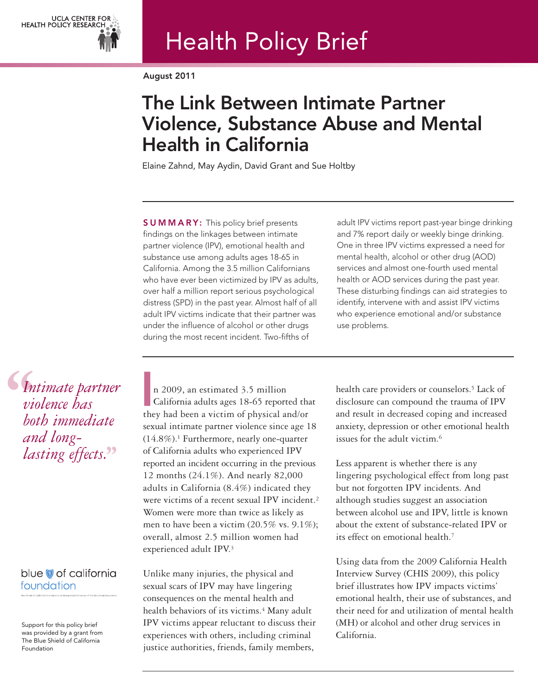

# Health Policy Brief

August 2011

## The Link Between Intimate Partner Violence, Substance Abuse and Mental Health in California

Elaine Zahnd, May Aydin, David Grant and Sue Holtby

**SUMMARY:** This policy brief presents findings on the linkages between intimate partner violence (IPV), emotional health and substance use among adults ages 18-65 in California. Among the 3.5 million Californians who have ever been victimized by IPV as adults, over half a million report serious psychological distress (SPD) in the past year. Almost half of all adult IPV victims indicate that their partner was under the influence of alcohol or other drugs during the most recent incident. Two-fifths of

adult IPV victims report past-year binge drinking and 7% report daily or weekly binge drinking. One in three IPV victims expressed a need for mental health, alcohol or other drug (AOD) services and almost one-fourth used mental health or AOD services during the past year. These disturbing findings can aid strategies to identify, intervene with and assist IPV victims who experience emotional and/or substance use problems.

**S**<br> *Vi*<br> *vi*<br> *bo*<br> *an Intimate partner violence has both immediate and long- lasting effects.* **''**

### blue of california foundation

Support for this policy brief was provided by a grant from The Blue Shield of California Foundation

n 2009, an estimated 3.5 million California adults ages 18-65 reported that they had been a victim of physical and/or sexual intimate partner violence since age 18 (14.8%).1 Furthermore, nearly one-quarter of California adults who experienced IPV reported an incident occurring in the previous 12 months (24.1%). And nearly 82,000 adults in California (8.4%) indicated they were victims of a recent sexual IPV incident.<sup>2</sup> Women were more than twice as likely as men to have been a victim (20.5% vs. 9.1%); overall, almost 2.5 million women had experienced adult IPV.3 I<br>I<br>I the

Unlike many injuries, the physical and sexual scars of IPV may have lingering consequences on the mental health and health behaviors of its victims.<sup>4</sup> Many adult IPV victims appear reluctant to discuss their experiences with others, including criminal justice authorities, friends, family members,

health care providers or counselors.<sup>5</sup> Lack of disclosure can compound the trauma of IPV and result in decreased coping and increased anxiety, depression or other emotional health issues for the adult victim.6

Less apparent is whether there is any lingering psychological effect from long past but not forgotten IPV incidents. And although studies suggest an association between alcohol use and IPV, little is known about the extent of substance-related IPV or its effect on emotional health.7

Using data from the 2009 California Health Interview Survey (CHIS 2009), this policy brief illustrates how IPV impacts victims' emotional health, their use of substances, and their need for and utilization of mental health (MH) or alcohol and other drug services in California.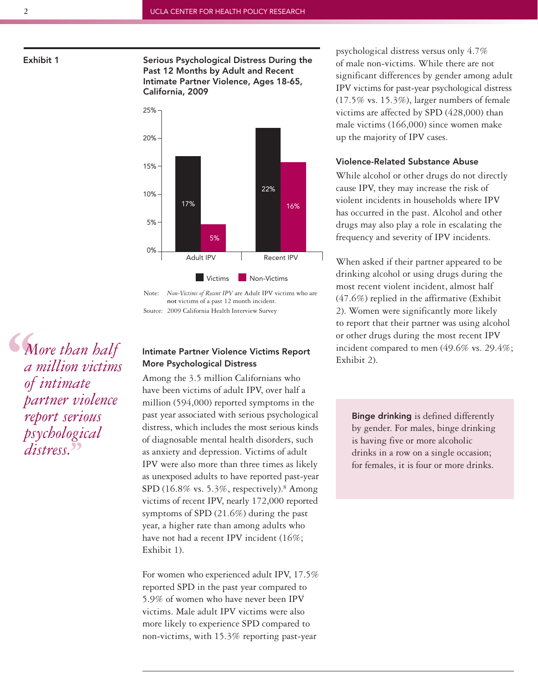Exhibit 1 Serious Psychological Distress During the Past 12 Months by Adult and Recent Intimate Partner Violence, Ages 18-65, California, 2009



Note: *Non-Victims of Recent IPV* are Adult IPV victims who are **not** victims of a past 12 month incident. Source: 2009 California Health Interview Survey

**S**<br> *a*<br> *a*<br> *a*<br> *g*<br> *g*<br> *pa More than half a million victims of intimate partner violence report serious psychological* **''** *distress.*

#### Intimate Partner Violence Victims Report More Psychological Distress

Among the 3.5 million Californians who have been victims of adult IPV, over half a million (594,000) reported symptoms in the past year associated with serious psychological distress, which includes the most serious kinds of diagnosable mental health disorders, such as anxiety and depression. Victims of adult IPV were also more than three times as likely as unexposed adults to have reported past-year SPD (16.8% vs. 5.3%, respectively).<sup>8</sup> Among victims of recent IPV, nearly 172,000 reported symptoms of SPD (21.6%) during the past year, a higher rate than among adults who have not had a recent IPV incident (16%; Exhibit 1).

For women who experienced adult IPV, 17.5% reported SPD in the past year compared to 5.9% of women who have never been IPV victims. Male adult IPV victims were also more likely to experience SPD compared to non-victims, with 15.3% reporting past-year

psychological distress versus only 4.7% of male non-victims. While there are not significant differences by gender among adult IPV victims for past-year psychological distress (17.5% vs. 15.3%), larger numbers of female victims are affected by SPD (428,000) than male victims (166,000) since women make up the majority of IPV cases.

#### Violence-Related Substance Abuse

While alcohol or other drugs do not directly cause IPV, they may increase the risk of violent incidents in households where IPV has occurred in the past. Alcohol and other drugs may also play a role in escalating the frequency and severity of IPV incidents.

When asked if their partner appeared to be drinking alcohol or using drugs during the most recent violent incident, almost half (47.6%) replied in the affirmative (Exhibit 2). Women were significantly more likely to report that their partner was using alcohol or other drugs during the most recent IPV incident compared to men (49.6% vs. 29.4%; Exhibit 2).

Binge drinking is defined differently by gender. For males, binge drinking is having five or more alcoholic drinks in a row on a single occasion; for females, it is four or more drinks.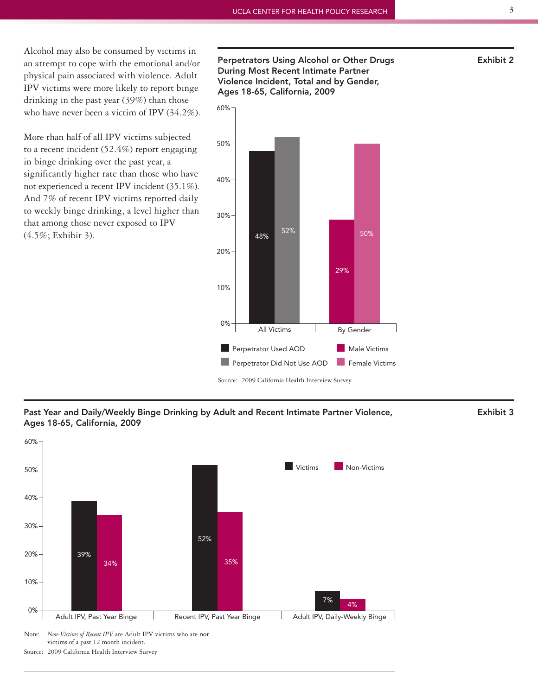Alcohol may also be consumed by victims in an attempt to cope with the emotional and/or physical pain associated with violence. Adult IPV victims were more likely to report binge drinking in the past year (39%) than those who have never been a victim of IPV (34.2%).

More than half of all IPV victims subjected to a recent incident (52.4%) report engaging in binge drinking over the past year, a significantly higher rate than those who have not experienced a recent IPV incident (35.1%). And 7% of recent IPV victims reported daily to weekly binge drinking, a level higher than that among those never exposed to IPV (4.5%; Exhibit 3).

Perpetrators Using Alcohol or Other Drugs Theorem 2011 Exhibit 2 During Most Recent Intimate Partner Violence Incident, Total and by Gender, Ages 18-65, California, 2009



Past Year and Daily/Weekly Binge Drinking by Adult and Recent Intimate Partner Violence, Exhibit 3 Ages 18-65, California, 2009



Source: 2009 California Health Interview Survey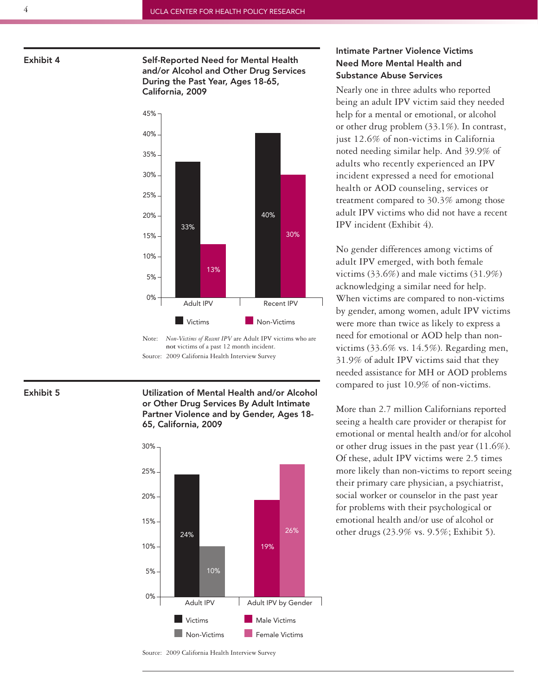Exhibit 4 Self-Reported Need for Mental Health and/or Alcohol and Other Drug Services During the Past Year, Ages 18-65, California, 2009



Note: *Non-Victims of Recent IPV* are Adult IPV victims who are **not** victims of a past 12 month incident. Source: 2009 California Health Interview Survey

Exhibit 5 Utilization of Mental Health and/or Alcohol or Other Drug Services By Adult Intimate Partner Violence and by Gender, Ages 18- 65, California, 2009



#### Intimate Partner Violence Victims Need More Mental Health and Substance Abuse Services

Nearly one in three adults who reported being an adult IPV victim said they needed help for a mental or emotional, or alcohol or other drug problem (33.1%). In contrast, just 12.6% of non-victims in California noted needing similar help. And 39.9% of adults who recently experienced an IPV incident expressed a need for emotional health or AOD counseling, services or treatment compared to 30.3% among those adult IPV victims who did not have a recent IPV incident (Exhibit 4).

No gender differences among victims of adult IPV emerged, with both female victims (33.6%) and male victims (31.9%) acknowledging a similar need for help. When victims are compared to non-victims by gender, among women, adult IPV victims were more than twice as likely to express a need for emotional or AOD help than nonvictims (33.6% vs. 14.5%). Regarding men, 31.9% of adult IPV victims said that they needed assistance for MH or AOD problems compared to just 10.9% of non-victims.

More than 2.7 million Californians reported seeing a health care provider or therapist for emotional or mental health and/or for alcohol or other drug issues in the past year (11.6%). Of these, adult IPV victims were 2.5 times more likely than non-victims to report seeing their primary care physician, a psychiatrist, social worker or counselor in the past year for problems with their psychological or emotional health and/or use of alcohol or other drugs (23.9% vs. 9.5%; Exhibit 5).

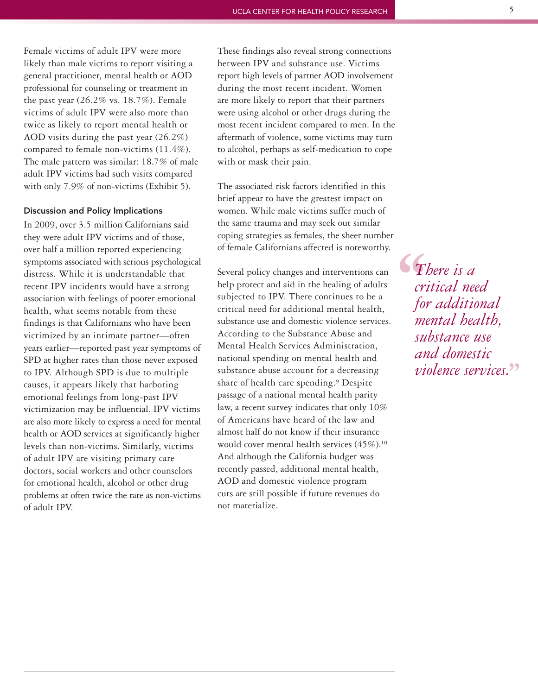Female victims of adult IPV were more likely than male victims to report visiting a general practitioner, mental health or AOD professional for counseling or treatment in the past year (26.2% vs. 18.7%). Female victims of adult IPV were also more than twice as likely to report mental health or AOD visits during the past year (26.2%) compared to female non-victims (11.4%). The male pattern was similar: 18.7% of male adult IPV victims had such visits compared with only 7.9% of non-victims (Exhibit 5).

#### Discussion and Policy Implications

In 2009, over 3.5 million Californians said they were adult IPV victims and of those, over half a million reported experiencing symptoms associated with serious psychological distress. While it is understandable that recent IPV incidents would have a strong association with feelings of poorer emotional health, what seems notable from these findings is that Californians who have been victimized by an intimate partner—often years earlier—reported past year symptoms of SPD at higher rates than those never exposed to IPV. Although SPD is due to multiple causes, it appears likely that harboring emotional feelings from long-past IPV victimization may be influential. IPV victims are also more likely to express a need for mental health or AOD services at significantly higher levels than non-victims. Similarly, victims of adult IPV are visiting primary care doctors, social workers and other counselors for emotional health, alcohol or other drug problems at often twice the rate as non-victims of adult IPV.

These findings also reveal strong connections between IPV and substance use. Victims report high levels of partner AOD involvement during the most recent incident. Women are more likely to report that their partners were using alcohol or other drugs during the most recent incident compared to men. In the aftermath of violence, some victims may turn to alcohol, perhaps as self-medication to cope with or mask their pain.

The associated risk factors identified in this brief appear to have the greatest impact on women. While male victims suffer much of the same trauma and may seek out similar coping strategies as females, the sheer number of female Californians affected is noteworthy.

Several policy changes and interventions can help protect and aid in the healing of adults subjected to IPV. There continues to be a critical need for additional mental health, substance use and domestic violence services. According to the Substance Abuse and Mental Health Services Administration, national spending on mental health and substance abuse account for a decreasing share of health care spending.9 Despite passage of a national mental health parity law, a recent survey indicates that only 10% of Americans have heard of the law and almost half do not know if their insurance would cover mental health services (45%).<sup>10</sup> And although the California budget was recently passed, additional mental health, AOD and domestic violence program cuts are still possible if future revenues do not materialize.

 $\begin{array}{c} \n\bullet \uparrow \quad \text{and} \quad \text{for} \quad \text{and} \quad \text{for} \quad \text{and} \quad \text{for} \quad \text{and} \quad \text{for} \quad \text{and} \quad \text{for} \quad \text{for} \quad \text{for} \quad \text{for} \quad \text{for} \quad \text{for} \quad \text{for} \quad \text{for} \quad \text{for} \quad \text{for} \quad \text{for} \quad \text{for} \quad \text{for} \quad \text{for} \quad \text{for} \quad \text{for} \quad \text{for} \quad \text{for} \quad \text{for} \quad \text{for} \quad \$ *There is a critical need for additional mental health, substance use and domestic violence services.* **''**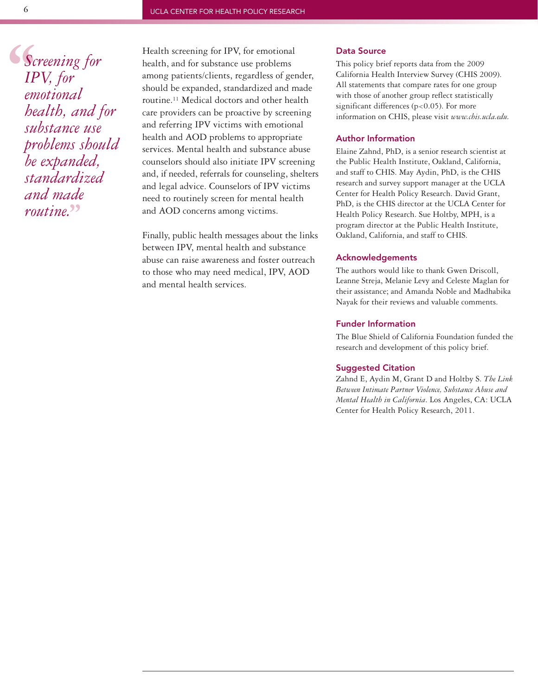**Sc**<br>
IP<br>
em<br>
bec *Screening for IPV, for emotional health, and for substance use problems should be expanded, standardized and made routine.* **''**

Health screening for IPV, for emotional health, and for substance use problems among patients/clients, regardless of gender, should be expanded, standardized and made routine.11 Medical doctors and other health care providers can be proactive by screening and referring IPV victims with emotional health and AOD problems to appropriate services. Mental health and substance abuse counselors should also initiate IPV screening and, if needed, referrals for counseling, shelters and legal advice. Counselors of IPV victims need to routinely screen for mental health and AOD concerns among victims.

Finally, public health messages about the links between IPV, mental health and substance abuse can raise awareness and foster outreach to those who may need medical, IPV, AOD and mental health services.

#### Data Source

This policy brief reports data from the 2009 California Health Interview Survey (CHIS 2009). All statements that compare rates for one group with those of another group reflect statistically significant differences (p<0.05). For more information on CHIS, please visit *www.chis.ucla.edu.*

#### Author Information

Elaine Zahnd, PhD, is a senior research scientist at the Public Health Institute, Oakland, California, and staff to CHIS. May Aydin, PhD, is the CHIS research and survey support manager at the UCLA Center for Health Policy Research. David Grant, PhD, is the CHIS director at the UCLA Center for Health Policy Research. Sue Holtby, MPH, is a program director at the Public Health Institute, Oakland, California, and staff to CHIS.

#### Acknowledgements

The authors would like to thank Gwen Driscoll, Leanne Streja, Melanie Levy and Celeste Maglan for their assistance; and Amanda Noble and Madhabika Nayak for their reviews and valuable comments.

#### Funder Information

The Blue Shield of California Foundation funded the research and development of this policy brief.

#### Suggested Citation

Zahnd E, Aydin M, Grant D and Holtby S. *The Link Between Intimate Partner Violence, Substance Abuse and Mental Health in California*. Los Angeles, CA: UCLA Center for Health Policy Research, 2011.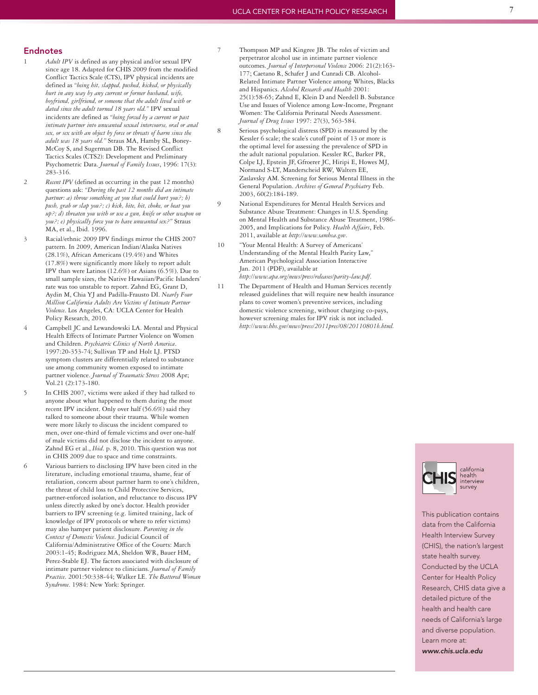#### Endnotes

- 1 *Adult IPV* is defined as any physical and/or sexual IPV since age 18. Adapted for CHIS 2009 from the modified Conflict Tactics Scale (CTS), IPV physical incidents are defined as *"being hit, slapped, pushed, kicked, or physically hurt in any way by any current or former husband, wife, boyfriend, girlfriend, or someone that the adult lived with or dated since the adult turned 18 years old."* IPV sexual incidents are defined as *"being forced by a current or past intimate partner into unwanted sexual intercourse, oral or anal sex, or sex with an object by force or threats of harm since the adult was 18 years old."* Straus MA, Hamby SL, Boney-McCoy S, and Sugerman DB. The Revised Conflict Tactics Scales (CTS2): Development and Preliminary Psychometric Data. *Journal of Family Issues*, 1996: 17(3): 283-316.
- 2 *Recent IPV* (defined as occurring in the past 12 months) questions ask: *"During the past 12 months did an intimate partner: a) throw something at you that could hurt you?; b) push, grab or slap you?; c) kick, bite, hit, choke, or beat you up?; d) threaten you with or use a gun, knife or other weapon on you?; e) physically force you to have unwanted sex?"* Straus MA, et al., Ibid. 1996.
- 3 Racial/ethnic 2009 IPV findings mirror the CHIS 2007 pattern. In 2009, American Indian/Alaska Natives (28.1%), African Americans (19.4%) and Whites (17.8%) were significantly more likely to report adult IPV than were Latinos (12.6%) or Asians (6.5%). Due to small sample sizes, the Native Hawaiian/Pacific Islanders' rate was too unstable to report. Zahnd EG, Grant D, Aydin M, Chia YJ and Padilla-Frausto DI. *Nearly Four Million California Adults Are Victims of Intimate Partner Violence*. Los Angeles, CA: UCLA Center for Health Policy Research, 2010.
- 4 Campbell JC and Lewandowski LA. Mental and Physical Health Effects of Intimate Partner Violence on Women and Children. *Psychiatric Clinics of North America*. 1997:20-353-74; Sullivan TP and Holt LJ. PTSD symptom clusters are differentially related to substance use among community women exposed to intimate partner violence. *Journal of Traumatic Stress* 2008 Apr; Vol.21 (2):173-180.
- 5 In CHIS 2007, victims were asked if they had talked to anyone about what happened to them during the most recent IPV incident. Only over half (56.6%) said they talked to someone about their trauma. While women were more likely to discuss the incident compared to men, over one-third of female victims and over one-half of male victims did not disclose the incident to anyone. Zahnd EG et al., *Ibid*. p. 8, 2010. This question was not in CHIS 2009 due to space and time constraints.
- 6 Various barriers to disclosing IPV have been cited in the literature, including emotional trauma, shame, fear of retaliation, concern about partner harm to one's children, the threat of child loss to Child Protective Services, partner-enforced isolation, and reluctance to discuss IPV unless directly asked by one's doctor. Health provider barriers to IPV screening (e.g. limited training, lack of knowledge of IPV protocols or where to refer victims) may also hamper patient disclosure. *Parenting in the Context of Domestic Violence*. Judicial Council of California/Administrative Office of the Courts: March 2003:1-45; Rodriguez MA, Sheldon WR, Bauer HM, Perez-Stable EJ. The factors associated with disclosure of intimate partner violence to clinicians. *Journal of Family Practice*. 2001:50:338-44; Walker LE. *The Battered Woman Syndrome*. 1984: New York: Springer.
- 7 Thompson MP and Kingree JB. The roles of victim and perpetrator alcohol use in intimate partner violence outcomes. *Journal of Interpersonal Violence* 2006: 21(2):163- 177; Caetano R, Schafer J and Cunradi CB. Alcohol-Related Intimate Partner Violence among Whites, Blacks and Hispanics. *Alcohol Research and Health* 2001: 25(1):58-65; Zahnd E, Klein D and Needell B. Substance Use and Issues of Violence among Low-Income, Pregnant Women: The California Perinatal Needs Assessment. *Journal of Drug Issues* 1997: 27(3), 563-584.
- 8 Serious psychological distress (SPD) is measured by the Kessler 6 scale; the scale's cutoff point of 13 or more is the optimal level for assessing the prevalence of SPD in the adult national population. Kessler RC, Barker PR, Colpe LJ, Epstein JF, Gfroerer JC, Hiripi E, Howes MJ, Normand S-LT, Manderscheid RW, Walters EE, Zaslavsky AM. Screening for Serious Mental Illness in the General Population. *Archives of General Psychiatry* Feb. 2003, 60(2):184-189.
- 9 National Expenditures for Mental Health Services and Substance Abuse Treatment: Changes in U.S. Spending on Mental Health and Substance Abuse Treatment, 1986- 2005, and Implications for Policy. *Health Affairs*, Feb. 2011, available at *http://www.samhsa.gov*.
- 10 "Your Mental Health: A Survey of Americans' Understanding of the Mental Health Parity Law," American Psychological Association Interactive Jan. 2011 (PDF), available at *http://www.apa.org/news/press/releases/parity-law.pdf*.
- 11 The Department of Health and Human Services recently released guidelines that will require new health insurance plans to cover women's preventive services, including domestic violence screening, without charging co-pays, however screening males for IPV risk is not included. *http://www.hhs.gov/news/press/2011pres/08/20110801b.html.*



This publication contains data from the California Health Interview Survey (CHIS), the nation's largest state health survey. Conducted by the UCLA Center for Health Policy Research, CHIS data give a detailed picture of the health and health care needs of California's large and diverse population. Learn more at: *www.chis.ucla.edu*